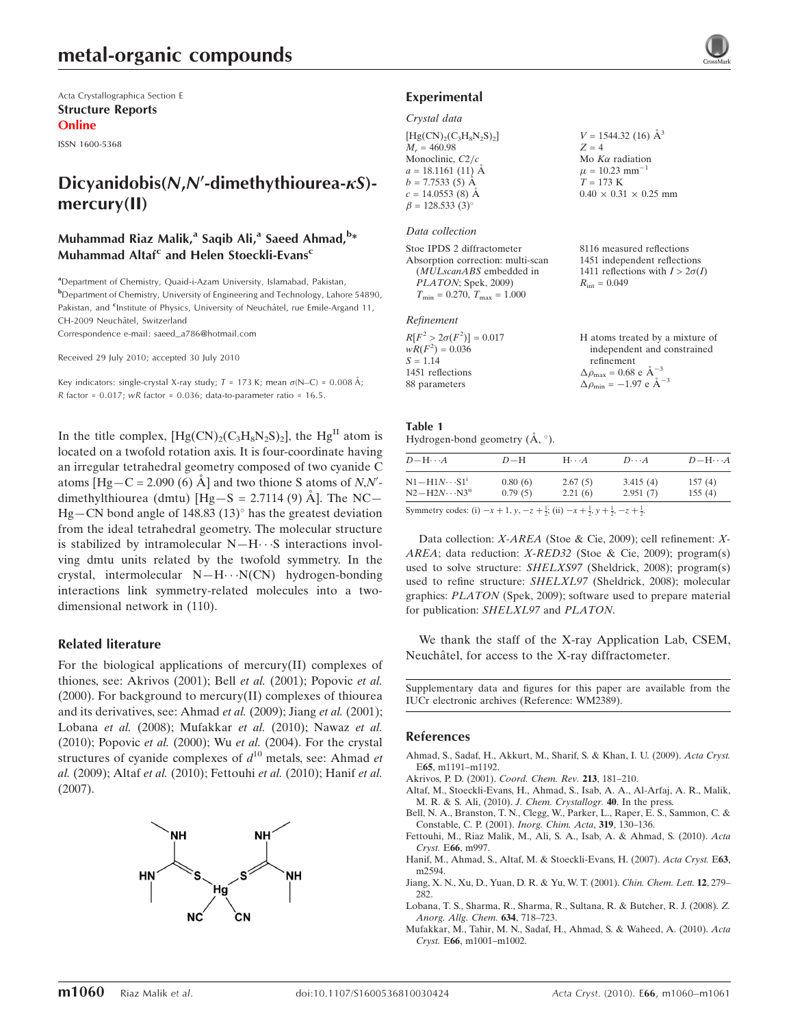Acta Crystallographica Section E Structure Reports Online

ISSN 1600-5368

## Dicyanidobis(N,N'-dimethythiourea- $\kappa S$ )mercury(II)

## Muhammad Riaz Malik,<sup>a</sup> Saqib Ali,<sup>a</sup> Saeed Ahmad,<sup>b</sup>\* Muhammad Altaf<sup>c</sup> and Helen Stoeckli-Evans<sup>c</sup>

<sup>a</sup>Department of Chemistry, Quaid-i-Azam University, Islamabad, Pakistan, **b** Department of Chemistry, University of Engineering and Technology, Lahore 54890, Pakistan, and <sup>c</sup>Institute of Physics, University of Neuchâtel, rue Emile-Argand 11, CH-2009 Neuchâtel, Switzerland

Correspondence e-mail: saeed\_a786@hotmail.com

Received 29 July 2010; accepted 30 July 2010

Key indicators: single-crystal X-ray study;  $T = 173$  K; mean  $\sigma$ (N–C) = 0.008 Å; R factor =  $0.017$ ; wR factor =  $0.036$ ; data-to-parameter ratio =  $16.5$ .

In the title complex,  $[Hg(CN)_2(C_3H_8N_2S)_2]$ , the  $Hg<sup>II</sup>$  atom is located on a twofold rotation axis. It is four-coordinate having an irregular tetrahedral geometry composed of two cyanide C atoms  $[Hg-C = 2.090(6) \text{ Å}]$  and two thione S atoms of N,N'dimethylthiourea (dmtu)  $[Hg-S = 2.7114 (9)$  Å. The NC- $Hg$  – CN bond angle of 148.83 (13) $^{\circ}$  has the greatest deviation from the ideal tetrahedral geometry. The molecular structure is stabilized by intramolecular  $N-H \cdots S$  interactions involving dmtu units related by the twofold symmetry. In the crystal, intermolecular  $N-H\cdots N(CN)$  hydrogen-bonding interactions link symmetry-related molecules into a twodimensional network in (110).

#### Related literature

For the biological applications of mercury(II) complexes of thiones, see: Akrivos (2001); Bell et al. (2001); Popovic et al. (2000). For background to mercury(II) complexes of thiourea and its derivatives, see: Ahmad et al. (2009); Jiang et al. (2001); Lobana et al. (2008); Mufakkar et al. (2010); Nawaz et al. (2010); Popovic et al. (2000); Wu et al. (2004). For the crystal structures of cyanide complexes of  $d^{10}$  metals, see: Ahmad *et* al. (2009); Altaf et al. (2010); Fettouhi et al. (2010); Hanif et al. (2007).



## Experimental

#### Crystal data

| $[Hg(CN)_{2}(C_{3}H_{8}N_{2}S)_{2}]$ | $V = 1544.32$ (16) $\AA^3$        |
|--------------------------------------|-----------------------------------|
| $M_r = 460.98$                       | $Z = 4$                           |
| Monoclinic, $C2/c$                   | Mo $K\alpha$ radiation            |
| $a = 18.1161(11)$ Å                  | $\mu = 10.23$ mm <sup>-1</sup>    |
| $b = 7.7533(5)$ Å                    | $T = 173 \text{ K}$               |
| $c = 14.0553$ (8) Å                  | $0.40 \times 0.31 \times 0.25$ mm |
| $\beta = 128.533(3)^{\circ}$         |                                   |

#### Data collection

Stoe IPDS 2 diffractometer Absorption correction: multi-scan (MULscanABS embedded in PLATON; Spek, 2009)  $T_{\text{min}} = 0.270$ ,  $T_{\text{max}} = 1.000$ 

#### Refinement

| $R[F^2 > 2\sigma(F^2)] = 0.017$ | H atoms treated by a mixture of                    |
|---------------------------------|----------------------------------------------------|
| $wR(F^2) = 0.036$               | independent and constrained                        |
| $S = 1.14$                      | refinement                                         |
| 1451 reflections                | $\Delta \rho_{\text{max}} = 0.68 \text{ e A}^{-3}$ |
| 88 parameters                   | $\Delta \rho_{\text{min}} = -1.97$ e $\AA^{-3}$    |

8116 measured reflections 1451 independent reflections 1411 reflections with  $I > 2\sigma(I)$ 

 $R_{\text{int}} = 0.049$ 

## Table 1

Hydrogen-bond geometry  $(\AA, \degree)$ .

| $D - H \cdots A$                                                                                              | $D-H$   | $H \cdots A$ | $D\cdots A$ | $D - H \cdots A$ |
|---------------------------------------------------------------------------------------------------------------|---------|--------------|-------------|------------------|
| $N1 - H1N \cdots S1^i$                                                                                        | 0.80(6) | 2.67(5)      | 3.415(4)    | 157(4)           |
| $N2 - H2N \cdots N3^{ii}$                                                                                     | 0.79(5) | 2.21(6)      | 2.951(7)    | 155(4)           |
| $\mathcal{O}_{\text{symmetry and for}}$ (2) $\pm$ 1.4 $\pm$ $\pm$ 1.4 (2) $\pm$ 1.4 $\pm$ 1.4 $\pm$ 1.4 $\pm$ |         |              |             |                  |

Symmetry codes: (i)  $-x + 1$ ,  $y$ ,  $-z + \frac{1}{2}$ ; (ii)  $-x + \frac{1}{2}$ ,  $y + \frac{1}{2}$ ,  $-z + \frac{1}{2}$ .

Data collection: X-AREA (Stoe & Cie, 2009); cell refinement: X-AREA; data reduction: X-RED32 (Stoe & Cie, 2009); program(s) used to solve structure: SHELXS97 (Sheldrick, 2008); program(s) used to refine structure: SHELXL97 (Sheldrick, 2008); molecular graphics: PLATON (Spek, 2009); software used to prepare material for publication: SHELXL97 and PLATON.

We thank the staff of the X-ray Application Lab, CSEM, Neuchâtel, for access to the X-ray diffractometer.

Supplementary data and figures for this paper are available from the IUCr electronic archives (Reference: WM2389).

#### References

- [Ahmad, S., Sadaf, H., Akkurt, M., Sharif, S. & Khan, I. U. \(2009\).](https://scripts.iucr.org/cgi-bin/cr.cgi?rm=pdfbb&cnor=wm2389&bbid=BB1) Acta Cryst. E65[, m1191–m1192.](https://scripts.iucr.org/cgi-bin/cr.cgi?rm=pdfbb&cnor=wm2389&bbid=BB1)
- [Akrivos, P. D. \(2001\).](https://scripts.iucr.org/cgi-bin/cr.cgi?rm=pdfbb&cnor=wm2389&bbid=BB2) Coord. Chem. Rev. 213, 181-210.
- [Altaf, M., Stoeckli-Evans, H., Ahmad, S., Isab, A. A., Al-Arfaj, A. R., Malik,](https://scripts.iucr.org/cgi-bin/cr.cgi?rm=pdfbb&cnor=wm2389&bbid=BB3) [M. R. & S. Ali, \(2010\).](https://scripts.iucr.org/cgi-bin/cr.cgi?rm=pdfbb&cnor=wm2389&bbid=BB3) J. Chem. Crystallogr. 40. In the press.
- [Bell, N. A., Branston, T. N., Clegg, W., Parker, L., Raper, E. S., Sammon, C. &](https://scripts.iucr.org/cgi-bin/cr.cgi?rm=pdfbb&cnor=wm2389&bbid=BB4) [Constable, C. P. \(2001\).](https://scripts.iucr.org/cgi-bin/cr.cgi?rm=pdfbb&cnor=wm2389&bbid=BB4) Inorg. Chim. Acta, 319, 130–136.
- [Fettouhi, M., Riaz Malik, M., Ali, S. A., Isab, A. & Ahmad, S. \(2010\).](https://scripts.iucr.org/cgi-bin/cr.cgi?rm=pdfbb&cnor=wm2389&bbid=BB5) Acta Cryst. E66[, m997.](https://scripts.iucr.org/cgi-bin/cr.cgi?rm=pdfbb&cnor=wm2389&bbid=BB5)
- [Hanif, M., Ahmad, S., Altaf, M. & Stoeckli-Evans, H. \(2007\).](https://scripts.iucr.org/cgi-bin/cr.cgi?rm=pdfbb&cnor=wm2389&bbid=BB6) Acta Cryst. E63, [m2594.](https://scripts.iucr.org/cgi-bin/cr.cgi?rm=pdfbb&cnor=wm2389&bbid=BB6)
- [Jiang, X. N., Xu, D., Yuan, D. R. & Yu, W. T. \(2001\).](https://scripts.iucr.org/cgi-bin/cr.cgi?rm=pdfbb&cnor=wm2389&bbid=BB7) Chin. Chem. Lett. 12, 279– [282.](https://scripts.iucr.org/cgi-bin/cr.cgi?rm=pdfbb&cnor=wm2389&bbid=BB7)
- [Lobana, T. S., Sharma, R., Sharma, R., Sultana, R. & Butcher, R. J. \(2008\).](https://scripts.iucr.org/cgi-bin/cr.cgi?rm=pdfbb&cnor=wm2389&bbid=BB8) Z. [Anorg. Allg. Chem.](https://scripts.iucr.org/cgi-bin/cr.cgi?rm=pdfbb&cnor=wm2389&bbid=BB8) 634, 718–723.
- [Mufakkar, M., Tahir, M. N., Sadaf, H., Ahmad, S. & Waheed, A. \(2010\).](https://scripts.iucr.org/cgi-bin/cr.cgi?rm=pdfbb&cnor=wm2389&bbid=BB9) Acta Cryst. E66[, m1001–m1002.](https://scripts.iucr.org/cgi-bin/cr.cgi?rm=pdfbb&cnor=wm2389&bbid=BB9)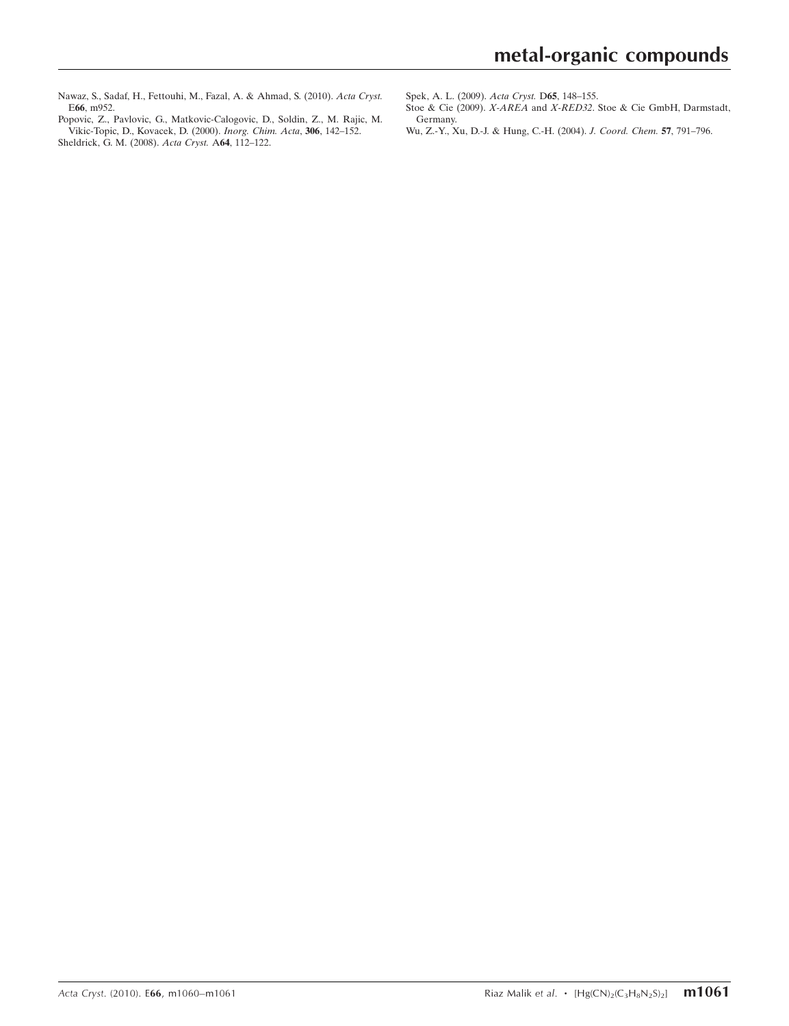- [Nawaz, S., Sadaf, H., Fettouhi, M., Fazal, A. & Ahmad, S. \(2010\).](https://scripts.iucr.org/cgi-bin/cr.cgi?rm=pdfbb&cnor=wm2389&bbid=BB10) Acta Cryst. E66[, m952.](https://scripts.iucr.org/cgi-bin/cr.cgi?rm=pdfbb&cnor=wm2389&bbid=BB10)
- [Popovic, Z., Pavlovic, G., Matkovic-Calogovic, D., Soldin, Z., M. Rajic, M.](https://scripts.iucr.org/cgi-bin/cr.cgi?rm=pdfbb&cnor=wm2389&bbid=BB11) [Vikic-Topic, D., Kovacek, D. \(2000\).](https://scripts.iucr.org/cgi-bin/cr.cgi?rm=pdfbb&cnor=wm2389&bbid=BB11) Inorg. Chim. Acta, 306, 142–152. [Sheldrick, G. M. \(2008\).](https://scripts.iucr.org/cgi-bin/cr.cgi?rm=pdfbb&cnor=wm2389&bbid=BB12) Acta Cryst. A64, 112–122.
- [Spek, A. L. \(2009\).](https://scripts.iucr.org/cgi-bin/cr.cgi?rm=pdfbb&cnor=wm2389&bbid=BB13) Acta Cryst. D65, 148–155.
- Stoe & Cie (2009). X-AREA and X-RED32[. Stoe & Cie GmbH, Darmstadt,](https://scripts.iucr.org/cgi-bin/cr.cgi?rm=pdfbb&cnor=wm2389&bbid=BB14) [Germany.](https://scripts.iucr.org/cgi-bin/cr.cgi?rm=pdfbb&cnor=wm2389&bbid=BB14)
- [Wu, Z.-Y., Xu, D.-J. & Hung, C.-H. \(2004\).](https://scripts.iucr.org/cgi-bin/cr.cgi?rm=pdfbb&cnor=wm2389&bbid=BB15) J. Coord. Chem. 57, 791–796.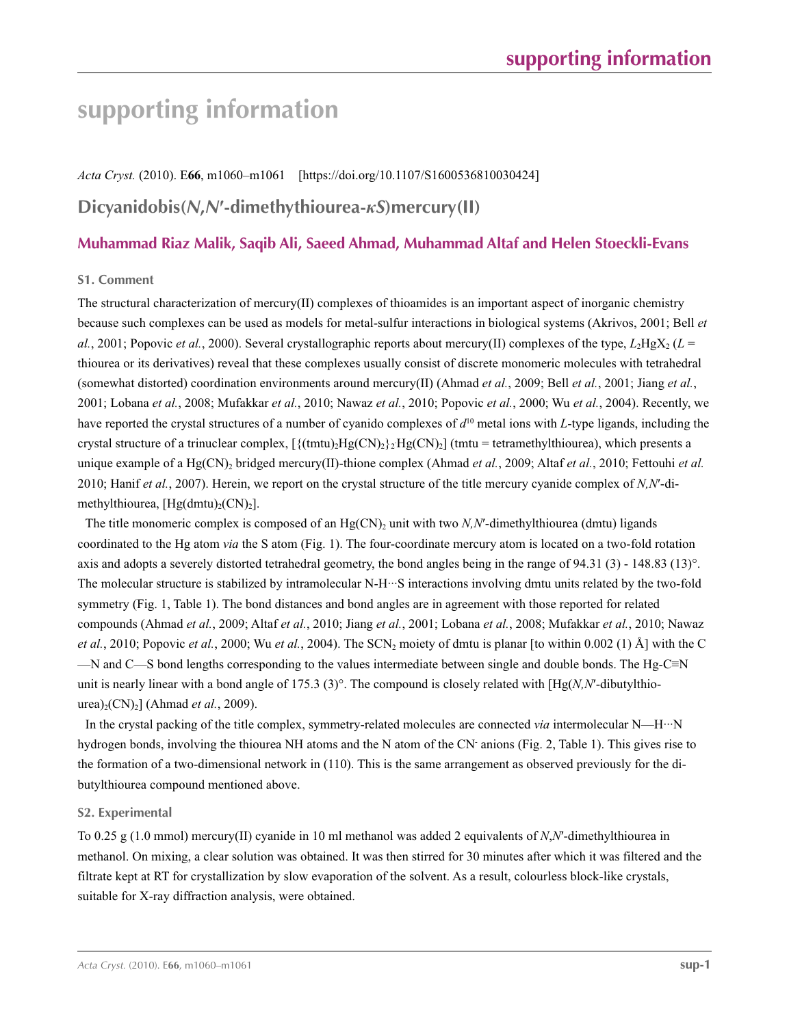## **supporting information**

*Acta Cryst.* (2010). E**66**, m1060–m1061 [https://doi.org/10.1107/S1600536810030424]

## **Dicyanidobis(***N***,***N***′-dimethythiourea-***κS***)mercury(II)**

## **Muhammad Riaz Malik, Saqib Ali, Saeed Ahmad, Muhammad Altaf and Helen Stoeckli-Evans**

## **S1. Comment**

The structural characterization of mercury(II) complexes of thioamides is an important aspect of inorganic chemistry because such complexes can be used as models for metal-sulfur interactions in biological systems (Akrivos, 2001; Bell *et al.*, 2001; Popovic *et al.*, 2000). Several crystallographic reports about mercury(II) complexes of the type,  $L_2HgX_2$  ( $L =$ thiourea or its derivatives) reveal that these complexes usually consist of discrete monomeric molecules with tetrahedral (somewhat distorted) coordination environments around mercury(II) (Ahmad *et al.*, 2009; Bell *et al.*, 2001; Jiang *et al.*, 2001; Lobana *et al.*, 2008; Mufakkar *et al.*, 2010; Nawaz *et al.*, 2010; Popovic *et al.*, 2000; Wu *et al.*, 2004). Recently, we have reported the crystal structures of a number of cyanido complexes of  $d^{10}$  metal ions with *L*-type ligands, including the crystal structure of a trinuclear complex,  $[\{(tmu)_2Hg(CN)_2\} \cdot Hg(CN)_2]$  (tmtu = tetramethylthiourea), which presents a unique example of a Hg(CN)<sub>2</sub> bridged mercury(II)-thione complex (Ahmad *et al.*, 2009; Altaf *et al.*, 2010; Fettouhi *et al.* 2010; Hanif *et al.*, 2007). Herein, we report on the crystal structure of the title mercury cyanide complex of *N,N*′-dimethylthiourea,  $[Hg(dmtu)_{2}(CN)_{2}]$ .

The title monomeric complex is composed of an  $Hg(CN)_2$  unit with two *N,N'*-dimethylthiourea (dmtu) ligands coordinated to the Hg atom *via* the S atom (Fig. 1). The four-coordinate mercury atom is located on a two-fold rotation axis and adopts a severely distorted tetrahedral geometry, the bond angles being in the range of 94.31 (3) - 148.83 (13)°. The molecular structure is stabilized by intramolecular N-H···S interactions involving dmtu units related by the two-fold symmetry (Fig. 1, Table 1). The bond distances and bond angles are in agreement with those reported for related compounds (Ahmad *et al.*, 2009; Altaf *et al.*, 2010; Jiang *et al.*, 2001; Lobana *et al.*, 2008; Mufakkar *et al.*, 2010; Nawaz *et al.*, 2010; Popovic *et al.*, 2000; Wu *et al.*, 2004). The SCN<sub>2</sub> moiety of dmtu is planar [to within 0.002 (1)  $\AA$ ] with the C —N and C—S bond lengths corresponding to the values intermediate between single and double bonds. The Hg-C≡N unit is nearly linear with a bond angle of 175.3 (3)°. The compound is closely related with  $[Hg(N,N'-dibuty]$ <sup>thio-</sup> urea)<sub>2</sub>(CN)<sub>2</sub>] (Ahmad *et al.*, 2009).

In the crystal packing of the title complex, symmetry-related molecules are connected *via* intermolecular N—H···N hydrogen bonds, involving the thiourea NH atoms and the N atom of the CN- anions (Fig. 2, Table 1). This gives rise to the formation of a two-dimensional network in (110). This is the same arrangement as observed previously for the dibutylthiourea compound mentioned above.

## **S2. Experimental**

To 0.25 g (1.0 mmol) mercury(II) cyanide in 10 ml methanol was added 2 equivalents of *N*,*N*′-dimethylthiourea in methanol. On mixing, a clear solution was obtained. It was then stirred for 30 minutes after which it was filtered and the filtrate kept at RT for crystallization by slow evaporation of the solvent. As a result, colourless block-like crystals, suitable for X-ray diffraction analysis, were obtained.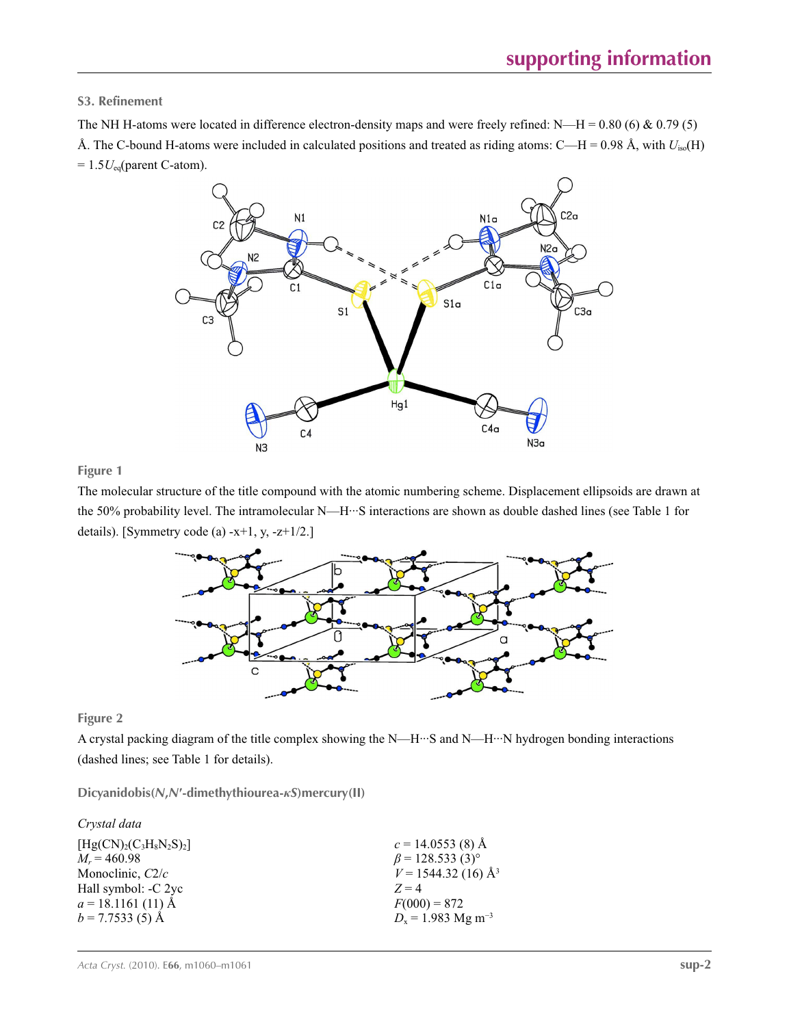## **S3. Refinement**

The NH H-atoms were located in difference electron-density maps and were freely refined: N—H =  $0.80$  (6) &  $0.79$  (5) Å. The C-bound H-atoms were included in calculated positions and treated as riding atoms: C—H = 0.98 Å, with *U*iso(H)  $= 1.5 U_{eq}$ (parent C-atom).



### **Figure 1**

The molecular structure of the title compound with the atomic numbering scheme. Displacement ellipsoids are drawn at the 50% probability level. The intramolecular N—H···S interactions are shown as double dashed lines (see Table 1 for details). [Symmetry code (a)  $-x+1$ , y,  $-z+1/2$ .]



**Figure 2**

A crystal packing diagram of the title complex showing the N—H···S and N—H···N hydrogen bonding interactions (dashed lines; see Table 1 for details).

**Dicyanidobis(***N***,***N***′-dimethythiourea-***κS***)mercury(II)** 

| Crystal data          |                                    |
|-----------------------|------------------------------------|
| $[Hg(CN)2(C3H8N2S)2]$ | $c = 14.0553(8)$ Å                 |
| $M_r = 460.98$        | $\beta$ = 128.533 (3) <sup>o</sup> |
| Monoclinic, $C2/c$    | $V = 1544.32(16)$ Å <sup>3</sup>   |
| Hall symbol: -C 2yc   | $Z=4$                              |
| $a = 18.1161(11)$ Å   | $F(000) = 872$                     |
| $b = 7.7533(5)$ Å     | $D_x = 1.983$ Mg m <sup>-3</sup>   |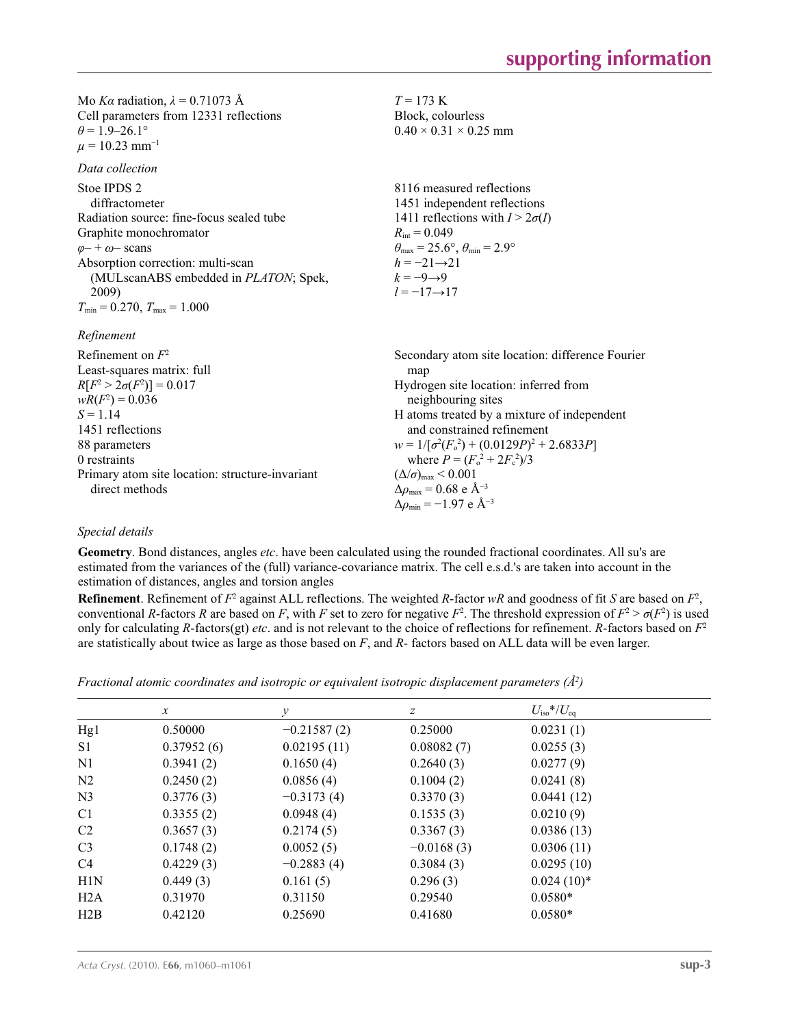| Mo <i>Ka</i> radiation, $\lambda = 0.71073$ Å<br>Cell parameters from 12331 reflections<br>$\theta$ = 1.9–26.1°<br>$\mu = 10.23$ mm <sup>-1</sup>                                                                                                                              | $T = 173$ K<br>Block, colourless<br>$0.40 \times 0.31 \times 0.25$ mm                                                                                                                                                                                                                      |
|--------------------------------------------------------------------------------------------------------------------------------------------------------------------------------------------------------------------------------------------------------------------------------|--------------------------------------------------------------------------------------------------------------------------------------------------------------------------------------------------------------------------------------------------------------------------------------------|
| Data collection                                                                                                                                                                                                                                                                |                                                                                                                                                                                                                                                                                            |
| Stoe IPDS 2<br>diffractometer<br>Radiation source: fine-focus sealed tube<br>Graphite monochromator<br>$\varphi$ - + $\omega$ - scans<br>Absorption correction: multi-scan<br>(MULscanABS embedded in <i>PLATON</i> ; Spek,<br>2009)<br>$T_{\min}$ = 0.270, $T_{\max}$ = 1.000 | 8116 measured reflections<br>1451 independent reflections<br>1411 reflections with $I > 2\sigma(I)$<br>$R_{\text{int}} = 0.049$<br>$\theta_{\text{max}} = 25.6^{\circ}, \theta_{\text{min}} = 2.9^{\circ}$<br>$h = -21 \rightarrow 21$<br>$k=-9 \rightarrow 9$<br>$l = -17 \rightarrow 17$ |
| Refinement                                                                                                                                                                                                                                                                     |                                                                                                                                                                                                                                                                                            |
| Refinement on $F^2$<br>Least-squares matrix: full<br>$R[F^2 > 2\sigma(F^2)] = 0.017$<br>$wR(F^2) = 0.036$                                                                                                                                                                      | Secondary atom site location: difference Fourier<br>map<br>Hydrogen site location: inferred from<br>neighbouring sites                                                                                                                                                                     |
| $S = 1.14$<br>1451 reflections<br>88 parameters<br>0 restraints                                                                                                                                                                                                                | H atoms treated by a mixture of independent<br>and constrained refinement<br>$w = 1/[\sigma^2(F_0^2) + (0.0129P)^2 + 2.6833P]$                                                                                                                                                             |
| Primary atom site location: structure-invariant<br>direct methods                                                                                                                                                                                                              | where $P = (F_o^2 + 2F_c^2)/3$<br>$(\Delta/\sigma)_{\text{max}}$ < 0.001<br>$\Delta\rho_{\rm max} = 0.68$ e ${\rm A}^{-3}$                                                                                                                                                                 |

## *Special details*

**Geometry**. Bond distances, angles *etc*. have been calculated using the rounded fractional coordinates. All su's are estimated from the variances of the (full) variance-covariance matrix. The cell e.s.d.'s are taken into account in the estimation of distances, angles and torsion angles

**Refinement**. Refinement of  $F^2$  against ALL reflections. The weighted *R*-factor  $wR$  and goodness of fit *S* are based on  $F^2$ , conventional *R*-factors *R* are based on *F*, with *F* set to zero for negative  $F^2$ . The threshold expression of  $F^2 > \sigma(F^2)$  is used only for calculating *R*-factors(gt) *etc*. and is not relevant to the choice of reflections for refinement. *R*-factors based on *F*<sup>2</sup> are statistically about twice as large as those based on *F*, and *R*- factors based on ALL data will be even larger.

Δ*ρ*max = 0.68 e Å−3  $\Delta \rho_{\text{min}} = -1.97 \text{ e A}^{-3}$ 

| Fractional atomic coordinates and isotropic or equivalent isotropic displacement parameters $(\AA^2)$ |  |  |  |  |
|-------------------------------------------------------------------------------------------------------|--|--|--|--|
|                                                                                                       |  |  |  |  |

|                | $\boldsymbol{x}$ | у             | z            | $U_{\rm iso} * / U_{\rm eq}$ |  |
|----------------|------------------|---------------|--------------|------------------------------|--|
| Hg1            | 0.50000          | $-0.21587(2)$ | 0.25000      | 0.0231(1)                    |  |
| S <sub>1</sub> | 0.37952(6)       | 0.02195(11)   | 0.08082(7)   | 0.0255(3)                    |  |
| N <sub>1</sub> | 0.3941(2)        | 0.1650(4)     | 0.2640(3)    | 0.0277(9)                    |  |
| N <sub>2</sub> | 0.2450(2)        | 0.0856(4)     | 0.1004(2)    | 0.0241(8)                    |  |
| N <sub>3</sub> | 0.3776(3)        | $-0.3173(4)$  | 0.3370(3)    | 0.0441(12)                   |  |
| C <sub>1</sub> | 0.3355(2)        | 0.0948(4)     | 0.1535(3)    | 0.0210(9)                    |  |
| C <sub>2</sub> | 0.3657(3)        | 0.2174(5)     | 0.3367(3)    | 0.0386(13)                   |  |
| C <sub>3</sub> | 0.1748(2)        | 0.0052(5)     | $-0.0168(3)$ | 0.0306(11)                   |  |
| C4             | 0.4229(3)        | $-0.2883(4)$  | 0.3084(3)    | 0.0295(10)                   |  |
| H1N            | 0.449(3)         | 0.161(5)      | 0.296(3)     | $0.024(10)*$                 |  |
| H2A            | 0.31970          | 0.31150       | 0.29540      | $0.0580*$                    |  |
| H2B            | 0.42120          | 0.25690       | 0.41680      | $0.0580*$                    |  |
|                |                  |               |              |                              |  |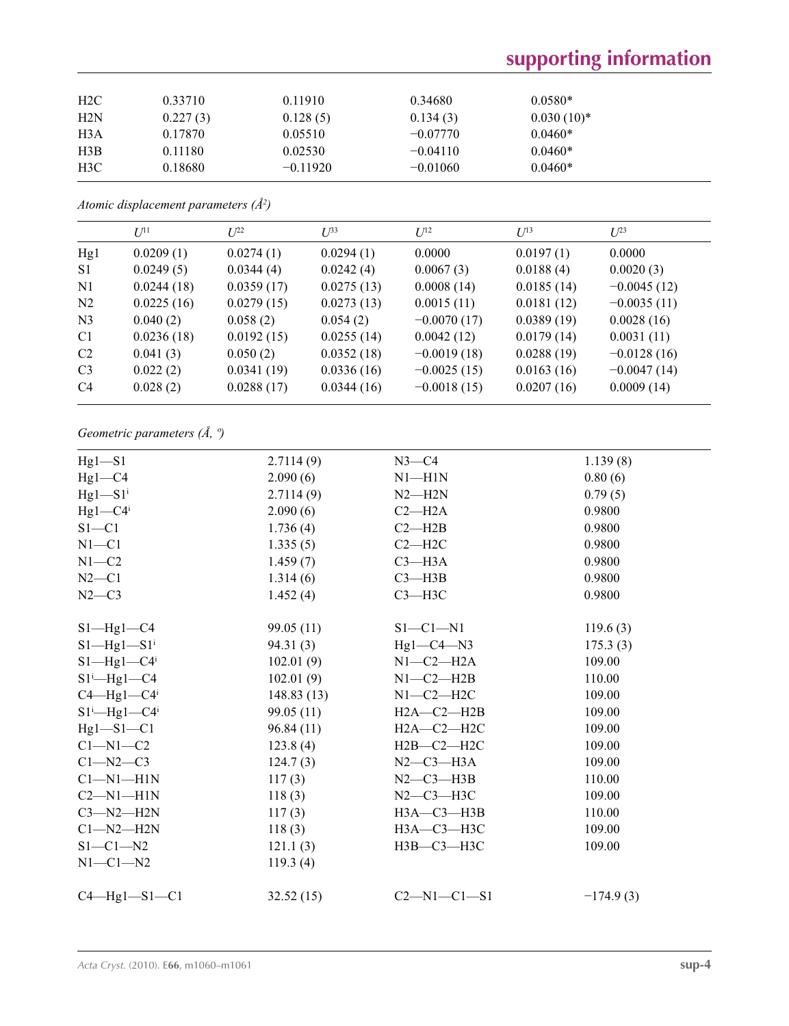# **supporting information**

| H <sub>2</sub> C | 0.33710  | 0.11910    | 0.34680    | $0.0580*$    |
|------------------|----------|------------|------------|--------------|
| H2N              | 0.227(3) | 0.128(5)   | 0.134(3)   | $0.030(10)*$ |
| H3A              | 0.17870  | 0.05510    | $-0.07770$ | $0.0460*$    |
| H3B              | 0.11180  | 0.02530    | $-0.04110$ | $0.0460*$    |
| H3C              | 0.18680  | $-0.11920$ | $-0.01060$ | $0.0460*$    |

*Atomic displacement parameters (Å2 )*

|                | $I^{11}$   | $I^{22}$   | $I^{\beta 3}$ | $I^{12}$      | $U^{13}$   | $L^{23}$      |
|----------------|------------|------------|---------------|---------------|------------|---------------|
| Hg1            | 0.0209(1)  | 0.0274(1)  | 0.0294(1)     | 0.0000        | 0.0197(1)  | 0.0000        |
| S <sub>1</sub> | 0.0249(5)  | 0.0344(4)  | 0.0242(4)     | 0.0067(3)     | 0.0188(4)  | 0.0020(3)     |
| N1             | 0.0244(18) | 0.0359(17) | 0.0275(13)    | 0.0008(14)    | 0.0185(14) | $-0.0045(12)$ |
| N <sub>2</sub> | 0.0225(16) | 0.0279(15) | 0.0273(13)    | 0.0015(11)    | 0.0181(12) | $-0.0035(11)$ |
| N <sub>3</sub> | 0.040(2)   | 0.058(2)   | 0.054(2)      | $-0.0070(17)$ | 0.0389(19) | 0.0028(16)    |
| C <sub>1</sub> | 0.0236(18) | 0.0192(15) | 0.0255(14)    | 0.0042(12)    | 0.0179(14) | 0.0031(11)    |
| C <sub>2</sub> | 0.041(3)   | 0.050(2)   | 0.0352(18)    | $-0.0019(18)$ | 0.0288(19) | $-0.0128(16)$ |
| C <sub>3</sub> | 0.022(2)   | 0.0341(19) | 0.0336(16)    | $-0.0025(15)$ | 0.0163(16) | $-0.0047(14)$ |
| C <sub>4</sub> | 0.028(2)   | 0.0288(17) | 0.0344(16)    | $-0.0018(15)$ | 0.0207(16) | 0.0009(14)    |
|                |            |            |               |               |            |               |

## *Geometric parameters (Å, º)*

| $Hg1-S1$                         | 2.7114(9)  | $N3-C4$             | 1.139(8)    |
|----------------------------------|------------|---------------------|-------------|
| $Hg1-C4$                         | 2.090(6)   | $N1 - H1N$          | 0.80(6)     |
| $Hg1-S1$ <sup>i</sup>            | 2.7114(9)  | $N2 - H2N$          | 0.79(5)     |
| $Hg1-C4$ <sup>i</sup>            | 2.090(6)   | $C2 - H2A$          | 0.9800      |
| $S1 - C1$                        | 1.736(4)   | $C2 - H2B$          | 0.9800      |
| $N1 - C1$                        | 1.335(5)   | $C2 - H2C$          | 0.9800      |
| $N1 - C2$                        | 1.459(7)   | $C3 - H3A$          | 0.9800      |
| $N2-C1$                          | 1.314(6)   | $C3 - H3B$          | 0.9800      |
| $N2-C3$                          | 1.452(4)   | $C3 - H3C$          | 0.9800      |
| $S1$ —Hg $1$ —C4                 | 99.05 (11) | $S1-C1-N1$          | 119.6(3)    |
| $S1$ —Hg $1$ —S $1$ <sup>i</sup> | 94.31(3)   | $Hg1-C4-N3$         | 175.3(3)    |
| $S1$ —Hg1—C4 <sup>i</sup>        | 102.01(9)  | $N1-C2-H2A$         | 109.00      |
| $S1^i$ —Hg1—C4                   | 102.01(9)  | $N1-C2-H2B$         | 110.00      |
| $C4 - Hg1 - C4$                  | 148.83(13) | $N1-C2-H2C$         | 109.00      |
| $S1^i$ —Hg $1$ —C $4^i$          | 99.05 (11) | $H2A-C2-H2B$        | 109.00      |
| $Hg1-S1-C1$                      | 96.84 (11) | $H2A-C2-H2C$        | 109.00      |
| $C1 - N1 - C2$                   | 123.8(4)   | $H2B-C2-H2C$        | 109.00      |
| $C1 - N2 - C3$                   | 124.7(3)   | $N2$ —C3—H3A        | 109.00      |
| $Cl-M1-H1N$                      | 117(3)     | $N2-C3-H3B$         | 110.00      |
| $C2-M1-H1N$                      | 118(3)     | $N2-C3-H3C$         | 109.00      |
| $C3-M2-H2N$                      | 117(3)     | $H3A - C3 - H3B$    | 110.00      |
| $Cl-M2-H2N$                      | 118(3)     | НЗА-СЗ-НЗС          | 109.00      |
| $S1 - C1 - N2$                   | 121.1(3)   | НЗВ-СЗ-НЗС          | 109.00      |
| $N1-C1-N2$                       | 119.3(4)   |                     |             |
| $C4$ —Hg1—S1—C1                  | 32.52(15)  | $C2 - N1 - C1 - S1$ | $-174.9(3)$ |
|                                  |            |                     |             |